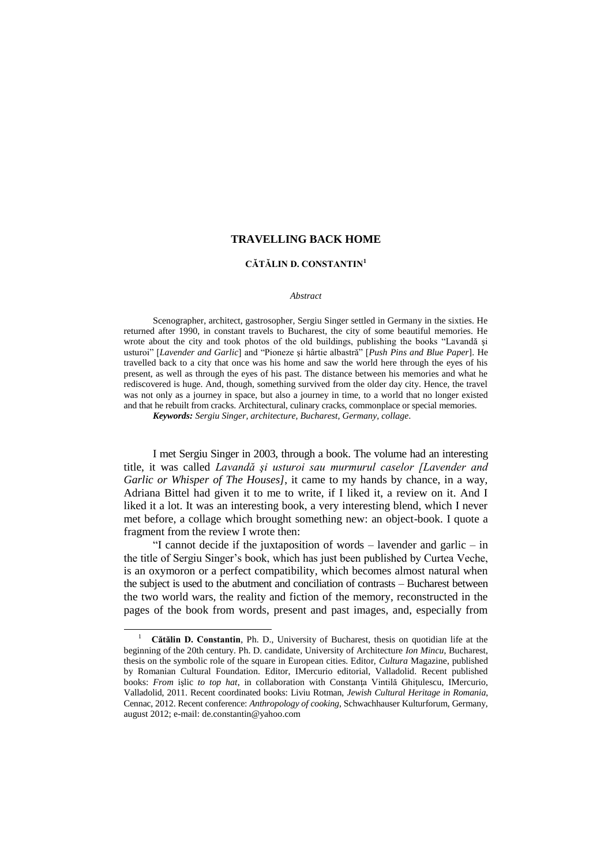## **CĂTĂLIN D. CONSTANTIN<sup>1</sup>**

#### *Abstract*

Scenographer, architect, gastrosopher, Sergiu Singer settled in Germany in the sixties. He returned after 1990, in constant travels to Bucharest, the city of some beautiful memories. He wrote about the city and took photos of the old buildings, publishing the books "Lavandă şi usturoi" [*Lavender and Garlic*] and "Pioneze şi hârtie albastră" [*Push Pins and Blue Paper*]. He travelled back to a city that once was his home and saw the world here through the eyes of his present, as well as through the eyes of his past. The distance between his memories and what he rediscovered is huge. And, though, something survived from the older day city. Hence, the travel was not only as a journey in space, but also a journey in time, to a world that no longer existed and that he rebuilt from cracks. Architectural, culinary cracks, commonplace or special memories.

*Keywords: Sergiu Singer, architecture, Bucharest, Germany, collage.*

I met Sergiu Singer in 2003, through a book. The volume had an interesting title, it was called *Lavandă şi usturoi sau murmurul caselor [Lavender and Garlic or Whisper of The Houses]*, it came to my hands by chance, in a way, Adriana Bittel had given it to me to write, if I liked it, a review on it. And I liked it a lot. It was an interesting book, a very interesting blend, which I never met before, a collage which brought something new: an object-book. I quote a fragment from the review I wrote then:

"I cannot decide if the juxtaposition of words – lavender and garlic – in the title of Sergiu Singer"s book, which has just been published by Curtea Veche, is an oxymoron or a perfect compatibility, which becomes almost natural when the subject is used to the abutment and conciliation of contrasts – Bucharest between the two world wars, the reality and fiction of the memory, reconstructed in the pages of the book from words, present and past images, and, especially from

 $\overline{a}$ 

<sup>1</sup> **Cătălin D. Constantin**, Ph. D., University of Bucharest, thesis on quotidian life at the beginning of the 20th century. Ph. D. candidate, University of Architecture *Ion Mincu*, Bucharest, thesis on the symbolic role of the square in European cities. Editor, *Cultura* Magazine, published by Romanian Cultural Foundation. Editor, IMercurio editorial, Valladolid. Recent published books: *From* işlic *to top hat*, in collaboration with Constanţa Vintilă Ghiţulescu, IMercurio, Valladolid, 2011. Recent coordinated books: Liviu Rotman, *Jewish Cultural Heritage in Romania*, Cennac, 2012. Recent conference: *Anthropology of cooking*, Schwachhauser Kulturforum, Germany, august 2012; e-mail: de.constantin@yahoo.com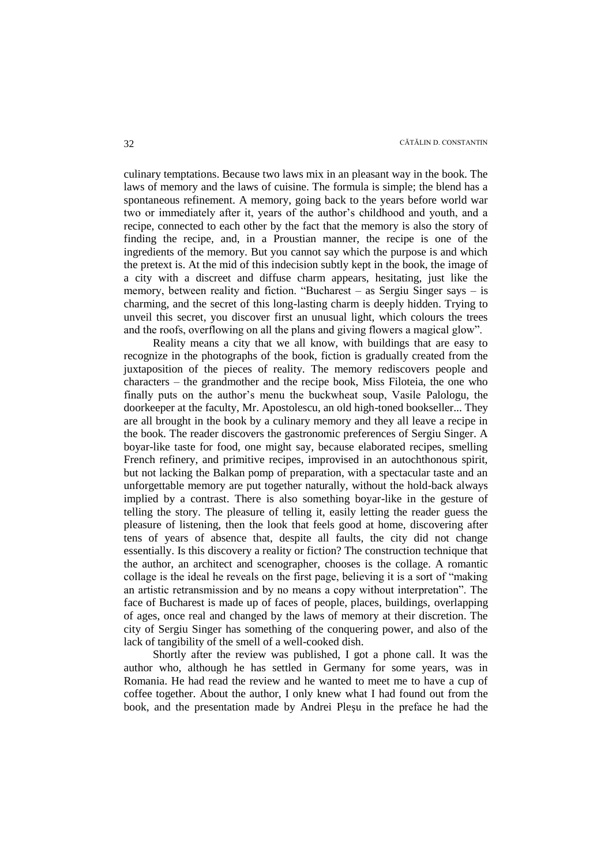culinary temptations. Because two laws mix in an pleasant way in the book. The laws of memory and the laws of cuisine. The formula is simple; the blend has a spontaneous refinement. A memory, going back to the years before world war two or immediately after it, years of the author"s childhood and youth, and a recipe, connected to each other by the fact that the memory is also the story of finding the recipe, and, in a Proustian manner, the recipe is one of the ingredients of the memory. But you cannot say which the purpose is and which the pretext is. At the mid of this indecision subtly kept in the book, the image of a city with a discreet and diffuse charm appears, hesitating, just like the memory, between reality and fiction. "Bucharest – as Sergiu Singer says – is charming, and the secret of this long-lasting charm is deeply hidden. Trying to unveil this secret, you discover first an unusual light, which colours the trees and the roofs, overflowing on all the plans and giving flowers a magical glow".

Reality means a city that we all know, with buildings that are easy to recognize in the photographs of the book, fiction is gradually created from the juxtaposition of the pieces of reality. The memory rediscovers people and characters – the grandmother and the recipe book, Miss Filoteia, the one who finally puts on the author"s menu the buckwheat soup, Vasile Palologu, the doorkeeper at the faculty, Mr. Apostolescu, an old high-toned bookseller... They are all brought in the book by a culinary memory and they all leave a recipe in the book. The reader discovers the gastronomic preferences of Sergiu Singer. A boyar-like taste for food, one might say, because elaborated recipes, smelling French refinery, and primitive recipes, improvised in an autochthonous spirit, but not lacking the Balkan pomp of preparation, with a spectacular taste and an unforgettable memory are put together naturally, without the hold-back always implied by a contrast. There is also something boyar-like in the gesture of telling the story. The pleasure of telling it, easily letting the reader guess the pleasure of listening, then the look that feels good at home, discovering after tens of years of absence that, despite all faults, the city did not change essentially. Is this discovery a reality or fiction? The construction technique that the author, an architect and scenographer, chooses is the collage. A romantic collage is the ideal he reveals on the first page, believing it is a sort of "making an artistic retransmission and by no means a copy without interpretation". The face of Bucharest is made up of faces of people, places, buildings, overlapping of ages, once real and changed by the laws of memory at their discretion. The city of Sergiu Singer has something of the conquering power, and also of the lack of tangibility of the smell of a well-cooked dish.

Shortly after the review was published, I got a phone call. It was the author who, although he has settled in Germany for some years, was in Romania. He had read the review and he wanted to meet me to have a cup of coffee together. About the author, I only knew what I had found out from the book, and the presentation made by Andrei Pleşu in the preface he had the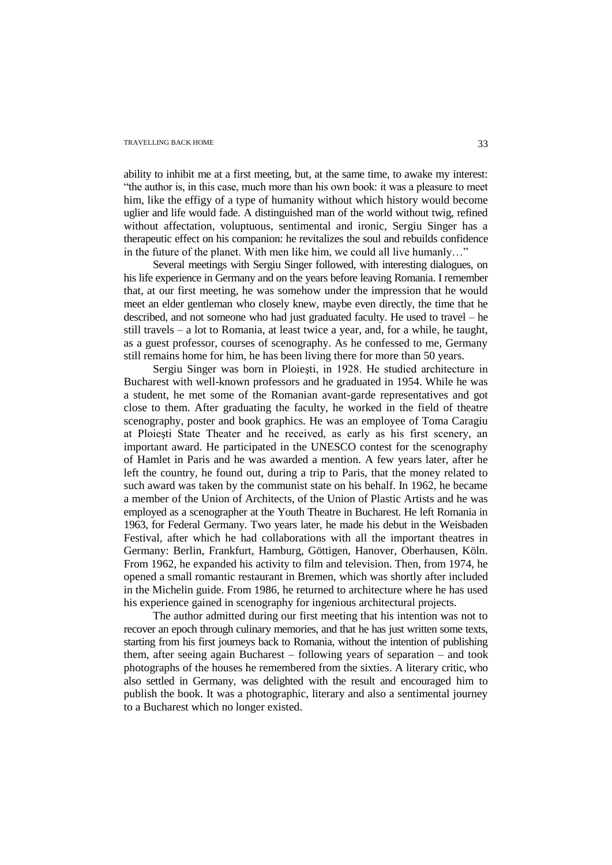ability to inhibit me at a first meeting, but, at the same time, to awake my interest: "the author is, in this case, much more than his own book: it was a pleasure to meet him, like the effigy of a type of humanity without which history would become uglier and life would fade. A distinguished man of the world without twig, refined without affectation, voluptuous, sentimental and ironic, Sergiu Singer has a therapeutic effect on his companion: he revitalizes the soul and rebuilds confidence in the future of the planet. With men like him, we could all live humanly…"

Several meetings with Sergiu Singer followed, with interesting dialogues, on his life experience in Germany and on the years before leaving Romania. I remember that, at our first meeting, he was somehow under the impression that he would meet an elder gentleman who closely knew, maybe even directly, the time that he described, and not someone who had just graduated faculty. He used to travel – he still travels – a lot to Romania, at least twice a year, and, for a while, he taught, as a guest professor, courses of scenography. As he confessed to me, Germany still remains home for him, he has been living there for more than 50 years.

Sergiu Singer was born in Ploieşti, in 1928. He studied architecture in Bucharest with well-known professors and he graduated in 1954. While he was a student, he met some of the Romanian avant-garde representatives and got close to them. After graduating the faculty, he worked in the field of theatre scenography, poster and book graphics. He was an employee of Toma Caragiu at Ploieşti State Theater and he received, as early as his first scenery, an important award. He participated in the UNESCO contest for the scenography of Hamlet in Paris and he was awarded a mention. A few years later, after he left the country, he found out, during a trip to Paris, that the money related to such award was taken by the communist state on his behalf. In 1962, he became a member of the Union of Architects, of the Union of Plastic Artists and he was employed as a scenographer at the Youth Theatre in Bucharest. He left Romania in 1963, for Federal Germany. Two years later, he made his debut in the Weisbaden Festival, after which he had collaborations with all the important theatres in Germany: Berlin, Frankfurt, Hamburg, Göttigen, Hanover, Oberhausen, Köln. From 1962, he expanded his activity to film and television. Then, from 1974, he opened a small romantic restaurant in Bremen, which was shortly after included in the Michelin guide. From 1986, he returned to architecture where he has used his experience gained in scenography for ingenious architectural projects.

The author admitted during our first meeting that his intention was not to recover an epoch through culinary memories, and that he has just written some texts, starting from his first journeys back to Romania, without the intention of publishing them, after seeing again Bucharest – following years of separation – and took photographs of the houses he remembered from the sixties. A literary critic, who also settled in Germany, was delighted with the result and encouraged him to publish the book. It was a photographic, literary and also a sentimental journey to a Bucharest which no longer existed.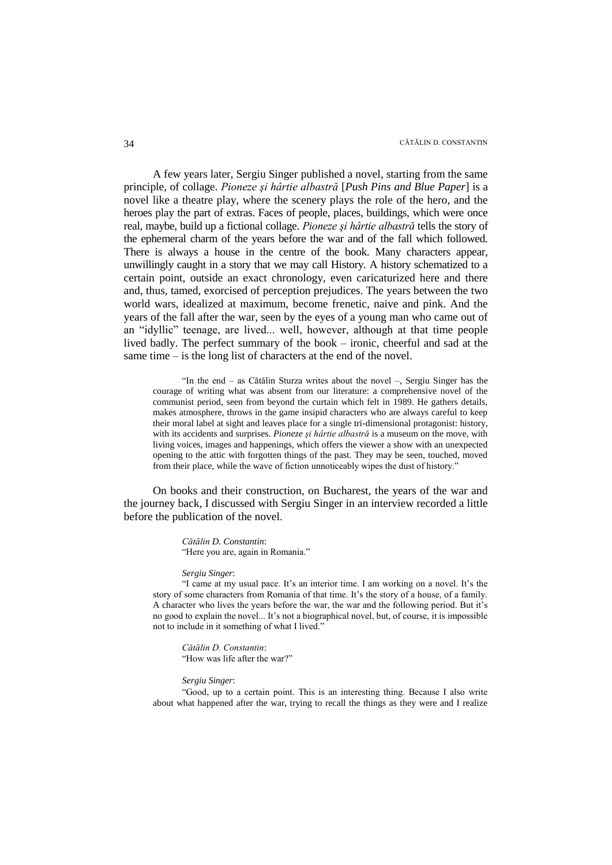A few years later, Sergiu Singer published a novel, starting from the same principle, of collage. *Pioneze şi hârtie albastră* [*Push Pins and Blue Paper*] is a novel like a theatre play, where the scenery plays the role of the hero, and the heroes play the part of extras. Faces of people, places, buildings, which were once real, maybe, build up a fictional collage. *Pioneze şi hârtie albastră* tells the story of the ephemeral charm of the years before the war and of the fall which followed. There is always a house in the centre of the book. Many characters appear, unwillingly caught in a story that we may call History. A history schematized to a certain point, outside an exact chronology, even caricaturized here and there and, thus, tamed, exorcised of perception prejudices. The years between the two world wars, idealized at maximum, become frenetic, naive and pink. And the years of the fall after the war, seen by the eyes of a young man who came out of an "idyllic" teenage, are lived... well, however, although at that time people lived badly. The perfect summary of the book – ironic, cheerful and sad at the same time – is the long list of characters at the end of the novel.

"In the end – as Cătălin Sturza writes about the novel –, Sergiu Singer has the courage of writing what was absent from our literature: a comprehensive novel of the communist period, seen from beyond the curtain which felt in 1989. He gathers details, makes atmosphere, throws in the game insipid characters who are always careful to keep their moral label at sight and leaves place for a single tri-dimensional protagonist: history, with its accidents and surprises. *Pioneze şi hârtie albastră* is a museum on the move, with living voices, images and happenings, which offers the viewer a show with an unexpected opening to the attic with forgotten things of the past. They may be seen, touched, moved from their place, while the wave of fiction unnoticeably wipes the dust of history."

On books and their construction, on Bucharest, the years of the war and the journey back, I discussed with Sergiu Singer in an interview recorded a little before the publication of the novel.

> *Cătălin D. Constantin*: "Here you are, again in Romania."

#### *Sergiu Singer*:

"I came at my usual pace. It's an interior time. I am working on a novel. It's the story of some characters from Romania of that time. It's the story of a house, of a family. A character who lives the years before the war, the war and the following period. But it"s no good to explain the novel... It's not a biographical novel, but, of course, it is impossible not to include in it something of what I lived."

*Cătălin D. Constantin*: "How was life after the war?"

### *Sergiu Singer*:

"Good, up to a certain point. This is an interesting thing. Because I also write about what happened after the war, trying to recall the things as they were and I realize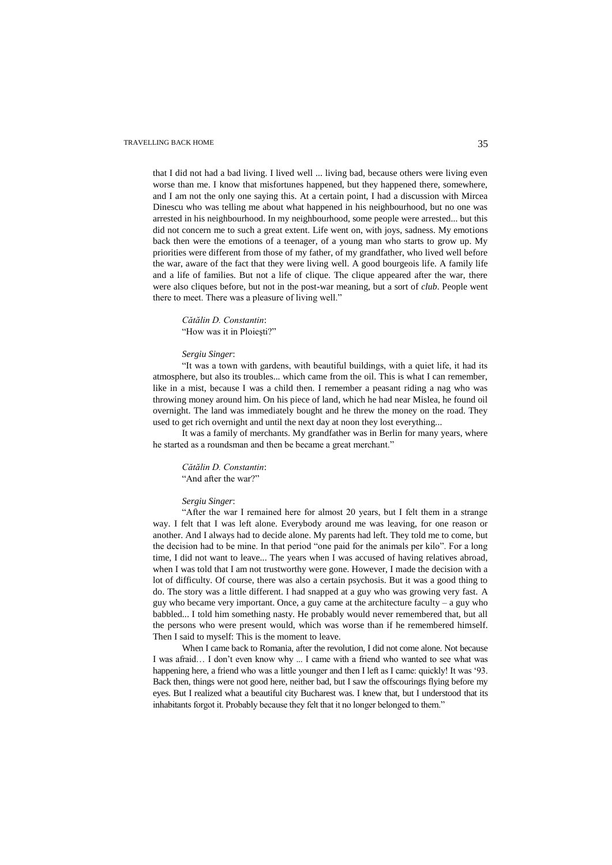that I did not had a bad living. I lived well ... living bad, because others were living even worse than me. I know that misfortunes happened, but they happened there, somewhere, and I am not the only one saying this. At a certain point, I had a discussion with Mircea Dinescu who was telling me about what happened in his neighbourhood, but no one was arrested in his neighbourhood. In my neighbourhood, some people were arrested... but this did not concern me to such a great extent. Life went on, with joys, sadness. My emotions back then were the emotions of a teenager, of a young man who starts to grow up. My priorities were different from those of my father, of my grandfather, who lived well before the war, aware of the fact that they were living well. A good bourgeois life. A family life and a life of families. But not a life of clique. The clique appeared after the war, there were also cliques before, but not in the post-war meaning, but a sort of *club*. People went there to meet. There was a pleasure of living well."

## *Cătălin D. Constantin*: "How was it in Ploieşti?"

### *Sergiu Singer*:

"It was a town with gardens, with beautiful buildings, with a quiet life, it had its atmosphere, but also its troubles... which came from the oil. This is what I can remember, like in a mist, because I was a child then. I remember a peasant riding a nag who was throwing money around him. On his piece of land, which he had near Mislea, he found oil overnight. The land was immediately bought and he threw the money on the road. They used to get rich overnight and until the next day at noon they lost everything...

It was a family of merchants. My grandfather was in Berlin for many years, where he started as a roundsman and then be became a great merchant."

### *Cătălin D. Constantin*: "And after the war?"

#### *Sergiu Singer*:

"After the war I remained here for almost 20 years, but I felt them in a strange way. I felt that I was left alone. Everybody around me was leaving, for one reason or another. And I always had to decide alone. My parents had left. They told me to come, but the decision had to be mine. In that period "one paid for the animals per kilo". For a long time, I did not want to leave... The years when I was accused of having relatives abroad, when I was told that I am not trustworthy were gone. However, I made the decision with a lot of difficulty. Of course, there was also a certain psychosis. But it was a good thing to do. The story was a little different. I had snapped at a guy who was growing very fast. A guy who became very important. Once, a guy came at the architecture faculty – a guy who babbled... I told him something nasty. He probably would never remembered that, but all the persons who were present would, which was worse than if he remembered himself. Then I said to myself: This is the moment to leave.

When I came back to Romania, after the revolution, I did not come alone. Not because I was afraid... I don't even know why ... I came with a friend who wanted to see what was happening here, a friend who was a little younger and then I left as I came: quickly! It was '93. Back then, things were not good here, neither bad, but I saw the offscourings flying before my eyes. But I realized what a beautiful city Bucharest was. I knew that, but I understood that its inhabitants forgot it. Probably because they felt that it no longer belonged to them."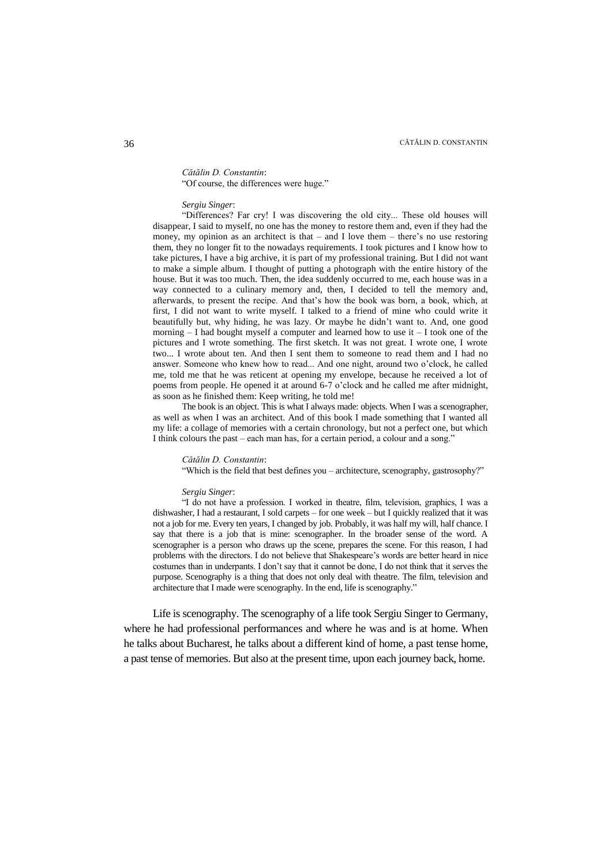## *Cătălin D. Constantin*:

"Of course, the differences were huge."

### *Sergiu Singer*:

"Differences? Far cry! I was discovering the old city... These old houses will disappear, I said to myself, no one has the money to restore them and, even if they had the money, my opinion as an architect is that  $-$  and I love them  $-$  there's no use restoring them, they no longer fit to the nowadays requirements. I took pictures and I know how to take pictures, I have a big archive, it is part of my professional training. But I did not want to make a simple album. I thought of putting a photograph with the entire history of the house. But it was too much. Then, the idea suddenly occurred to me, each house was in a way connected to a culinary memory and, then, I decided to tell the memory and, afterwards, to present the recipe. And that"s how the book was born, a book, which, at first, I did not want to write myself. I talked to a friend of mine who could write it beautifully but, why hiding, he was lazy. Or maybe he didn"t want to. And, one good morning – I had bought myself a computer and learned how to use it – I took one of the pictures and I wrote something. The first sketch. It was not great. I wrote one, I wrote two... I wrote about ten. And then I sent them to someone to read them and I had no answer. Someone who knew how to read... And one night, around two o"clock, he called me, told me that he was reticent at opening my envelope, because he received a lot of poems from people. He opened it at around 6-7 o"clock and he called me after midnight, as soon as he finished them: Keep writing, he told me!

The book is an object. This is what I always made: objects. When I was a scenographer, as well as when I was an architect. And of this book I made something that I wanted all my life: a collage of memories with a certain chronology, but not a perfect one, but which I think colours the past – each man has, for a certain period, a colour and a song."

#### *Cătălin D. Constantin*:

"Which is the field that best defines you – architecture, scenography, gastrosophy?"

### *Sergiu Singer*:

"I do not have a profession. I worked in theatre, film, television, graphics, I was a dishwasher, I had a restaurant, I sold carpets – for one week – but I quickly realized that it was not a job for me. Every ten years, I changed by job. Probably, it was half my will, half chance. I say that there is a job that is mine: scenographer. In the broader sense of the word. A scenographer is a person who draws up the scene, prepares the scene. For this reason, I had problems with the directors. I do not believe that Shakespeare"s words are better heard in nice costumes than in underpants. I don"t say that it cannot be done, I do not think that it serves the purpose. Scenography is a thing that does not only deal with theatre. The film, television and architecture that I made were scenography. In the end, life is scenography."

Life is scenography. The scenography of a life took Sergiu Singer to Germany, where he had professional performances and where he was and is at home. When he talks about Bucharest, he talks about a different kind of home, a past tense home, a past tense of memories. But also at the present time, upon each journey back, home.